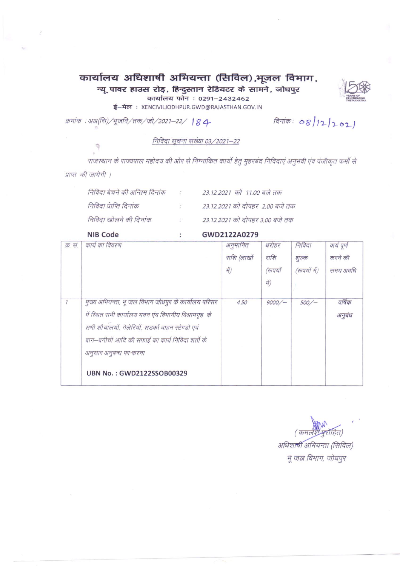# कार्यालय अधिशाषी अभियन्ता (सिविल),भूजल विभाग,

न्यू पावर हाउस रोड़, हिन्दुस्तान रेडियटर के सामने, जोधपुर

कार्यालय फोन: 0291-2432462

ई-मेल: XENCIVILIODHPUR.GWD@RAJASTHAN.GOV.IN

क्रमांक: अअ(सि)/भूजवि/तक/जो/2021-22/ 184-

दिनांक: 08/12/2021

निविदा सूचना सख्या 03/2021-22

राजस्थान के राज्यपाल महोदय की ओर से निम्नाकित कार्यो हेतु मुहरबंद निविदाएं अनुभवी एंव पंजीकृत फर्मो से प्राप्त की जायेगी ।

| निविदा बेचने की अन्तिम दिनांक |               | 23.12.2021 को 11.00 बजे तक      |
|-------------------------------|---------------|---------------------------------|
| निविदा प्राप्ति दिनांक        |               | 23.12.2021 को दोपहर 2.00 बजे तक |
| निविदा खोलने की दिनांक        | $\mathcal{L}$ | 23.12.2021 को दोपहर 3.00 बजे तक |

÷

NIB Code

GWD2122A0279

| क्र. स.       | कार्य का विवरण                                                                                                                                                                                                                                                              | अनुमानित<br>राशि (लाखों<br>में) | धरोहर<br>राशि<br>(रूपयों<br>में) | निविदा<br>शुल्क<br>(रूपयों में) | कार्य पूर्ण<br>करने की<br>समय अवधि |
|---------------|-----------------------------------------------------------------------------------------------------------------------------------------------------------------------------------------------------------------------------------------------------------------------------|---------------------------------|----------------------------------|---------------------------------|------------------------------------|
| $\mathcal{I}$ | मुख्य अभियन्ता, भू जल विभाग जोधपुर के कार्यालय परिसर<br>में स्थित सभी कार्यालय भवन एंव विभागीय विश्रामगृह के<br>सभी शौचालयों, गेलेरियों, सड़कों वाहन स्टेण्डो एवं<br>बाग–बगीचों आदि की सफाई का कार्य निविदा शर्तो के<br>अनुसार अनुबन्ध पर करना<br>UBN No.: GWD2122SSOB00329 | 4.50                            | 9000/                            | 500/                            | वर्षिक<br>अनुबंध                   |

(कमत

अधिशाषी अभियन्ता (सिविल) भू जल विभाग, जोधपुर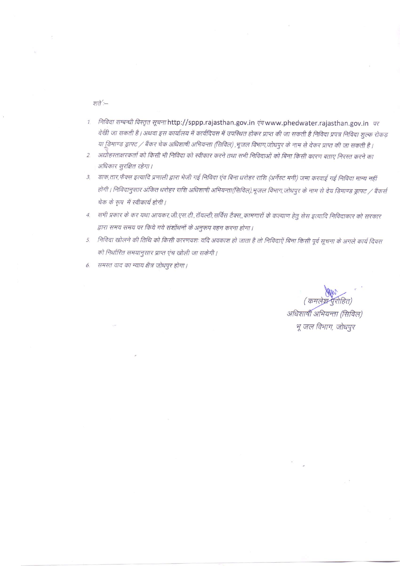शते :--

- 1. निविदा सम्बन्धी विस्तृत सूचना http://sppp.rajasthan.gov.in एव www.phedwater.rajasthan.gov.in पर देखी जा सकती है। अथवा इस कार्यालय में कार्यदिवस में उपस्थित होकर प्राप्त की जा सकती है निविदा प्रपत्र निविदा शुल्क रोकड़ या डिमाण्ड ड्राफ्ट / बैंकर चेक अधिशाषी अभियन्ता (सिविल) ,भूजल विभाग,जोधपुर के नाम से देकर प्राप्त की जा सकती है।
- 2. अद्योहस्ताक्षरकर्ता को किसी भी निविदा को स्वीकार करने तथा सभी निविदाओं को बिना किसी कारण बताए निरस्त करने का अधिकार सुरक्षित रहेगा।
- 3. डाक,तार,फैक्स इत्यादि प्रणाली द्वारा भेजी गई निविदा एंव बिना धरोहर राशि (अर्नेस्ट मनी) जमा करवाई गई निविदा मान्य नहीं होगी । निविदानुसार अंकित धरोहर राशि अधिशाषी अभियन्ता(सिविल),भूजल विभाग,जोधपुर के नाम से देय डिमाण्ड ड्राफ्ट / बैंकर्स चेक के रूप में स्वीकार्य होगी।
- 4. सभी प्रकार के कर यथा आयकर,जी.एस.टी.,रॉयल्टी,सर्विस टैक्स,,कामगारों के कल्याण हेतु सेस इत्यादि निविदाकार को सरकार द्वारा समय समय पर किये गये संशोधनों के अनुरूप वहन करना होगा।
- 5. निविदा खोलने की तिथि को किसी कारणवशः यदि अवकाश हो जाता है तो निविदाएें बिना किसी पूर्व सूचना के अगले कार्य दिवस को निर्धारित समयानुसार प्राप्त एंच खोली जा सकेगी।
- 6. समस्त वाद का न्याय क्षेत्र जोधपुर होगा।

(कमलेश्ने पुरोहित) अधिशाषी अभियन्ता (सिविल) भू जल विभाग, जोधपुर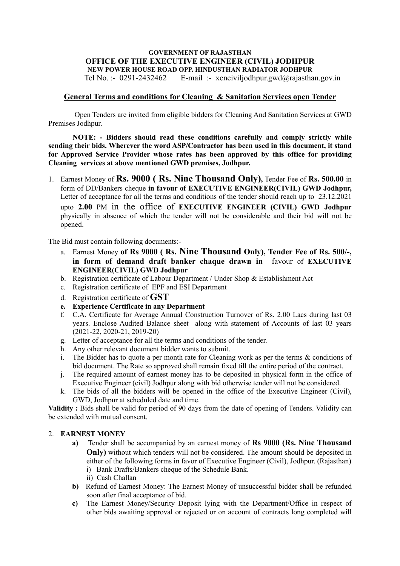# **GOVERNMENT OF RAJASTHAN OFFICE OF THE EXECUTIVE ENGINEER (CIVIL) JODHPUR NEW POWER HOUSE ROAD OPP. HINDUSTHAN RADIATOR JODHPUR**

Tel No. :- 0291-2432462 E-mail :- xenciviljodhpur.gwd@rajasthan.gov.in

## **General Terms and conditions for Cleaning & Sanitation Services open Tender**

Open Tenders are invited from eligible bidders for Cleaning And Sanitation Services at GWD Premises Jodhpur.

**NOTE: - Bidders should read these conditions carefully and comply strictly while sending their bids. Wherever the word ASP/Contractor has been used in this document, it stand for Approved Service Provider whose rates has been approved by this office for providing Cleaning services at above mentioned GWD premises, Jodhpur.** 

1. Earnest Money of **Rs. 9000 ( Rs. Nine Thousand Only),** Tender Fee of **Rs. 500.00** in form of DD/Bankers cheque **in favour of EXECUTIVE ENGINEER(CIVIL) GWD Jodhpur,**  Letter of acceptance for all the terms and conditions of the tender should reach up to 23.12.2021 upto **2.00** PM in the office of **EXECUTIVE ENGINEER (CIVIL) GWD Jodhpur** physically in absence of which the tender will not be considerable and their bid will not be opened.

The Bid must contain following documents:-

- a. Earnest Money **of Rs 9000 ( Rs. Nine Thousand Only), Tender Fee of Rs. 500/-, in form of demand draft banker chaque drawn in** favour of **EXECUTIVE ENGINEER(CIVIL) GWD Jodhpur**
- b. Registration certificate of Labour Department / Under Shop & Establishment Act
- c. Registration certificate of EPF and ESI Department
- d. Registration certificate of **GST**
- **e. Experience Certificate in any Department**
- f. C.A. Certificate for Average Annual Construction Turnover of Rs. 2.00 Lacs during last 03 years. Enclose Audited Balance sheet along with statement of Accounts of last 03 years (2021-22, 2020-21, 2019-20)
- g. Letter of acceptance for all the terms and conditions of the tender.
- h. Any other relevant document bidder wants to submit.
- i. The Bidder has to quote a per month rate for Cleaning work as per the terms  $\&$  conditions of bid document. The Rate so approved shall remain fixed till the entire period of the contract.
- j. The required amount of earnest money has to be deposited in physical form in the office of Executive Engineer (civil) Jodhpur along with bid otherwise tender will not be considered.
- k. The bids of all the bidders will be opened in the office of the Executive Engineer (Civil), GWD, Jodhpur at scheduled date and time.

**Validity :** Bids shall be valid for period of 90 days from the date of opening of Tenders. Validity can be extended with mutual consent.

### 2. **EARNEST MONEY**

- **a)** Tender shall be accompanied by an earnest money of **Rs 9000 (Rs. Nine Thousand Only**) without which tenders will not be considered. The amount should be deposited in either of the following forms in favor of Executive Engineer (Civil), Jodhpur. (Rajasthan) i) Bank Drafts/Bankers cheque of the Schedule Bank.
	- ii) Cash Challan
- **b)** Refund of Earnest Money: The Earnest Money of unsuccessful bidder shall be refunded soon after final acceptance of bid.
- **c)** The Earnest Money/Security Deposit lying with the Department/Office in respect of other bids awaiting approval or rejected or on account of contracts long completed will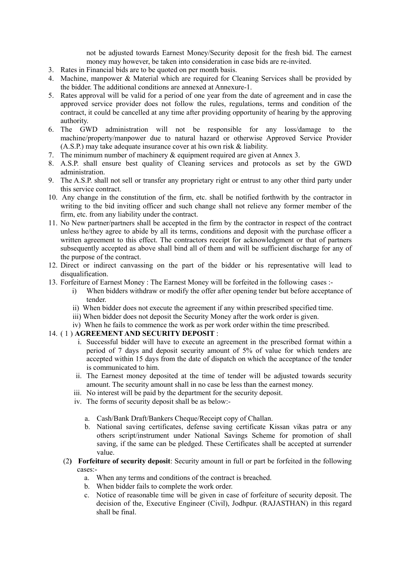not be adjusted towards Earnest Money/Security deposit for the fresh bid. The earnest money may however, be taken into consideration in case bids are re-invited.

- 3. Rates in Financial bids are to be quoted on per month basis.
- 4. Machine, manpower & Material which are required for Cleaning Services shall be provided by the bidder. The additional conditions are annexed at Annexure-1.
- 5. Rates approval will be valid for a period of one year from the date of agreement and in case the approved service provider does not follow the rules, regulations, terms and condition of the contract, it could be cancelled at any time after providing opportunity of hearing by the approving authority.
- 6. The GWD administration will not be responsible for any loss/damage to the machine/property/manpower due to natural hazard or otherwise Approved Service Provider (A.S.P.) may take adequate insurance cover at his own risk & liability.
- 7. The minimum number of machinery & equipment required are given at Annex 3.
- 8. A.S.P. shall ensure best quality of Cleaning services and protocols as set by the GWD administration.
- 9. The A.S.P. shall not sell or transfer any proprietary right or entrust to any other third party under this service contract.
- 10. Any change in the constitution of the firm, etc. shall be notified forthwith by the contractor in writing to the bid inviting officer and such change shall not relieve any former member of the firm, etc. from any liability under the contract.
- 11. No New partner/partners shall be accepted in the firm by the contractor in respect of the contract unless he/they agree to abide by all its terms, conditions and deposit with the purchase officer a written agreement to this effect. The contractors receipt for acknowledgment or that of partners subsequently accepted as above shall bind all of them and will be sufficient discharge for any of the purpose of the contract.
- 12. Direct or indirect canvassing on the part of the bidder or his representative will lead to disqualification.
- 13. Forfeiture of Earnest Money : The Earnest Money will be forfeited in the following cases :
	- i) When bidders withdraw or modify the offer after opening tender but before acceptance of tender.
	- ii) When bidder does not execute the agreement if any within prescribed specified time.
	- iii) When bidder does not deposit the Security Money after the work order is given.
	- iv) When he fails to commence the work as per work order within the time prescribed.

## 14. ( 1 ) **AGREEMENT AND SECURITY DEPOSIT** :

- i. Successful bidder will have to execute an agreement in the prescribed format within a period of 7 days and deposit security amount of 5% of value for which tenders are accepted within 15 days from the date of dispatch on which the acceptance of the tender is communicated to him.
- ii. The Earnest money deposited at the time of tender will be adjusted towards security amount. The security amount shall in no case be less than the earnest money.
- iii. No interest will be paid by the department for the security deposit.
- iv. The forms of security deposit shall be as below:
	- a. Cash/Bank Draft/Bankers Cheque/Receipt copy of Challan.
	- b. National saving certificates, defense saving certificate Kissan vikas patra or any others script/instrument under National Savings Scheme for promotion of shall saving, if the same can be pledged. These Certificates shall be accepted at surrender value.
- (2**) Forfeiture of security deposit**: Security amount in full or part be forfeited in the following cases:
	- a. When any terms and conditions of the contract is breached.
	- b. When bidder fails to complete the work order.
	- c. Notice of reasonable time will be given in case of forfeiture of security deposit. The decision of the, Executive Engineer (Civil), Jodhpur. (RAJASTHAN) in this regard shall be final.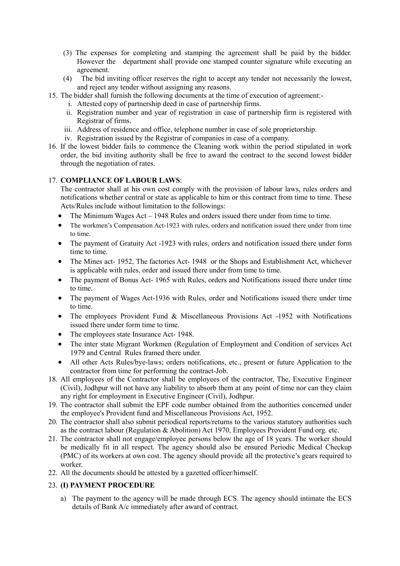- (3) The expenses for completing and stamping the agreement shall be paid by the bidder. However the department shall provide one stamped counter signature while executing an agreement.
- (4) The bid inviting officer reserves the right to accept any tender not necessarily the lowest, and reject any tender without assigning any reasons.
- 15. The bidder shall furnish the following documents at the time of execution of agreement:
	- i. Attested copy of partnership deed in case of partnership firms.
	- ii. Registration number and year of registration in case of partnership firm is registered with Registrar of firms.
	- iii. Address of residence and office, telephone number in case of sole proprietorship.
	- iv. Registration issued by the Registrar of companies in case of a company.
- 16. If the lowest bidder fails to commence the Cleaning work within the period stipulated in work order, the bid inviting authority shall be free to award the contract to the second lowest bidder through the negotiation of rates.

## 17. **COMPLIANCE OF LABOUR LAWS**:

The contractor shall at his own cost comply with the provision of labour laws, rules orders and notifications whether central or state as applicable to him or this contract from time to time. These Acts/Rules include without limitation to the followings:

- The Minimum Wages Act 1948 Rules and orders issued there under from time to time.
- The workmen's Compensation Act-1923 with rules, orders and notification issued there under from time to time.
- The payment of Gratuity Act -1923 with rules, orders and notification issued there under form time to time.
- The Mines act- 1952, The factories Act- 1948 or the Shops and Establishment Act, whichever is applicable with rules, order and issued there under from time to time.
- The payment of Bonus Act- 1965 with Rules, orders and Notifications issued there under time to time.
- The payment of Wages Act-1936 with Rules, order and Notifications issued there under time to time.
- The employees Provident Fund & Miscellaneous Provisions Act -1952 with Notifications issued there under form time to time.
- The employees state Insurance Act- 1948.
- The inter state Migrant Workmen (Regulation of Employment and Condition of services Act 1979 and Central Rules framed there under.
- All other Acts Rules/bye-laws; orders notifications, etc., present or future Application to the contractor from time for performing the contract-Job.
- 18. All employees of the Contractor shall be employees of the contractor, The, Executive Engineer (Civil), Jodhpur will not have any liability to absorb them at any point of time nor can they claim any right for employment in Executive Engineer (Civil), Jodhpur.
- 19. The contractor shall submit the EPF code number obtained from the authorities concerned under the employee's Provident fund and Miscellaneous Provisions Act, 1952.
- 20. The contractor shall also submit periodical reports/returns to the various statutory authorities such as the contract labour (Regulation & Abolition) Act 1970, Employees Provident Fund org. etc.
- 21. The contractor shall not engage/employee persons below the age of 18 years. The worker should be medically fit in all respect. The agency should also be ensured Periodic Medical Checkup (PMC) of its workers at own cost. The agency should provide all the protective's gears required to worker.
- 22. All the documents should be attested by a gazetted officer/himself.

## 23. **(I) PAYMENT PROCEDURE**

a) The payment to the agency will be made through ECS. The agency should intimate the ECS details of Bank A/c immediately after award of contract.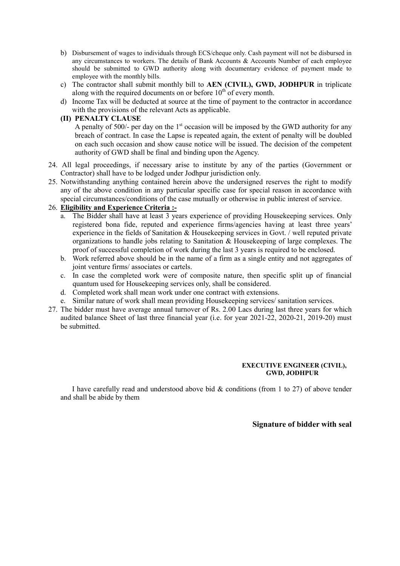- b) Disbursement of wages to individuals through ECS/cheque only. Cash payment will not be disbursed in any circumstances to workers. The details of Bank Accounts & Accounts Number of each employee should be submitted to GWD authority along with documentary evidence of payment made to employee with the monthly bills.
- c) The contractor shall submit monthly bill to **AEN (CIVIL), GWD, JODHPUR** in triplicate along with the required documents on or before  $10<sup>th</sup>$  of every month.
- d) Income Tax will be deducted at source at the time of payment to the contractor in accordance with the provisions of the relevant Acts as applicable.

## **(II) PENALTY CLAUSE**

A penalty of 500/- per day on the  $1<sup>st</sup>$  occasion will be imposed by the GWD authority for any breach of contract. In case the Lapse is repeated again, the extent of penalty will be doubled on each such occasion and show cause notice will be issued. The decision of the competent authority of GWD shall be final and binding upon the Agency.

- 24. All legal proceedings, if necessary arise to institute by any of the parties (Government or Contractor) shall have to be lodged under Jodhpur jurisdiction only.
- 25. Notwithstanding anything contained herein above the undersigned reserves the right to modify any of the above condition in any particular specific case for special reason in accordance with special circumstances/conditions of the case mutually or otherwise in public interest of service.

## 26. **Eligibility and Experience Criteria :-**

- a. The Bidder shall have at least 3 years experience of providing Housekeeping services. Only registered bona fide, reputed and experience firms/agencies having at least three years' experience in the fields of Sanitation  $\&$  Housekeeping services in Govt. / well reputed private organizations to handle jobs relating to Sanitation  $\&$  Housekeeping of large complexes. The proof of successful completion of work during the last 3 years is required to be enclosed.
- b. Work referred above should be in the name of a firm as a single entity and not aggregates of joint venture firms/ associates or cartels.
- c. In case the completed work were of composite nature, then specific split up of financial quantum used for Housekeeping services only, shall be considered.
- d. Completed work shall mean work under one contract with extensions.
- e. Similar nature of work shall mean providing Housekeeping services/ sanitation services.
- 27. The bidder must have average annual turnover of Rs. 2.00 Lacs during last three years for which audited balance Sheet of last three financial year (i.e. for year 2021-22, 2020-21, 2019-20) must be submitted.

### **EXECUTIVE ENGINEER (CIVIL), GWD, JODHPUR**

I have carefully read and understood above bid  $\&$  conditions (from 1 to 27) of above tender and shall be abide by them

### **Signature of bidder with seal**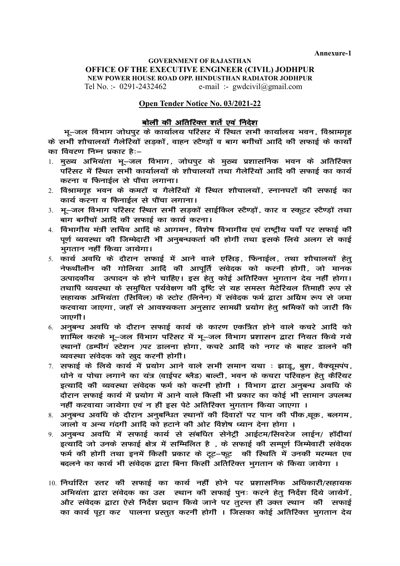**Annexure-1**

## **GOVERNMENT OF RAJASTHAN OFFICE OF THE EXECUTIVE ENGINEER (CIVIL) JODHPUR NEW POWER HOUSE ROAD OPP. HINDUSTHAN RADIATOR JODHPUR** Tel No. :- 0291-2432462 e-mail :- gwdcivil@gmail.com

### **Open Tender Notice No. 03/2021-22**

# बोली की अतिरिक्त शर्ते एवं निदेश

भू–जल विभाग जोधपुर के कार्यालय परिसर में स्थित सभी कार्यालय भवन, विश्रामगृह के सभी शौचालयों गैलेरियों सड़कों, वाहन स्टैण्ड़ों व बाग बगीचों आदि की सफाई के कार्यों का विवरण निम्न प्रकार है:–

- 1. मुख्य अभियंता भू–जल विभाग, जोधपुर के मुख्य प्रशासनिक भवन के अतिरिक्त परिसर में स्थित सभी कार्यालयों के शौचालयों तथा गैलेरियों आदि की सफाई का कार्य करना व फिनाईल से पौंचा लगाना।
- 2. विश्रामगृह भवन के कमरों व गैलेरियों में स्थित शौचालयों, स्नानघरों की सफाई का कार्य करना व फिनाईल से पौंचा लगाना।
- 3. भू-जल विभाग परिसर स्थित सभी सडकों साईकिल स्टैण्डों, कार व स्कूटर स्टैण्डों तथा बाग बगीचों आदि की सफाई का कार्य करना।
- 4. विभागीय मंत्री सचिव आदि के आगमन, विशेष विभागीय एवं राष्ट्रीय पर्वों पर सफाई की पर्ण व्यवस्था की जिम्मेदारी भी अनुबन्धकर्ता की होगी तथा इसके लिये अलग से काई भगतान नहीं किया जायेगा।
- 5. कार्य अवधि के दौरान सफाई में आने वाले एसिड़, फिनाईल, तथा शौचालयों हेत् नेफथीलीन की गोलिया आदि की आपर्ति संवेदक को करनी होगी, जो मानक उत्पादकीय उत्पादन के होने चाहिए। इस हेत् कोई अतिरिक्त भुगतान देय नहीं होगा। तथापि व्यवस्था के समुचित पर्यवेक्षण की दृष्टि से यह समस्त मैटेरियल तिमाही रूप से सहायक अभियंता (सिविल) के स्टोर (लिनेन) में संवेदक फर्म द्वारा अग्रिम रूप से जमा करवाया जाएगा, जहाँ से आवश्यकता अनसार सामग्री प्रयोग हेत श्रमिकों को जारी कि जाएगी।
- 6. अनुबन्ध अवधि के दौरान सफाई कार्य के कारण एकत्रित होने वाले कचरे आदि को शामिल करके भू–जल विभाग परिसर में भू–जल विभाग प्रशासन द्वारा नियत किये गये स्थानों (डम्पीगं स्टेशन )पर डालना होगा, कचरे आदि को नगर के बाहर डालने की व्यवस्था संवेदक को खुद करनी होगी।
- $7.$  सफाई के लिये कार्य में प्रयोग आने वाले सभी समान यथा : झाड़, बुश, वैक्यूमपंप, धोने व पोचा लगाने का यंत्र (वाईपर ब्लैड) बाल्टी, भवन के कचरा परिवहन हेत् कैरियर इत्यादि की व्यवस्था संवेदक फर्म को करनी होगी । विभाग द्वारा अनुबन्ध अवधि के दौरान सफाई कार्य में प्रयोग में आने वाले किसी भी प्रकार का कोई भी सामान उपलब्ध नहीं करवाया जायेगा एवं न ही इस पेटे अतिरिक्त भुगतान किया जाएगा ।
- 8. अनुबन्ध अवधि के दौरान अनुबन्धित स्थानों की दिवारों पर पान की पीक थ़क, बलगम, जालो व अन्य गंदगी आदि को हटाने की ओर विशेष ध्यान देना होगा ।
- 9. अनुबन्ध अवधि में सफाई कार्य से संबधित सेनेट्री आईटम/सिवरेज लाईन/ हॉदीयां इत्यादि जो उनके सफाई क्षेत्र में सम्मिलित है), के सफाई की सम्पूर्ण जिम्मेवारी संवेदक फर्म की होगी तथा इनमें किसी प्रकार के टूट-फूट की स्थिति में उनकी मरम्मत एव बदलने का कार्य भी संवेदक द्वारा बिना किसी अतिरिक्त भुगतान के किया जावेगा ।
- 10. निर्धारित स्तर की सफाई का कार्य नहीं होने पर प्रशासनिक अधिकारी/सहायक अभियंता द्वारा संवेदक का उस स्थान की सफाई पुनः करने हेत् निर्देश दिये जायेगें, ओर संवेदक द्वारा ऐसे निर्देश प्रदान किये जाने पर तुरन्त ही उक्त स्थान की सफाई का कार्य परा कर पालना प्रस्तुत करनी होगी । जिसका कोई अतिरिक्त भगतान देय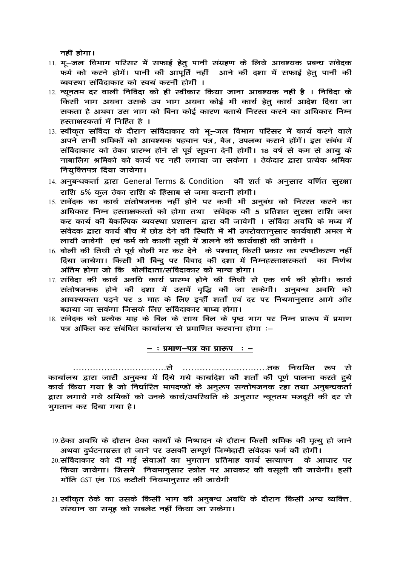नहीं होगा।

- 11. भू–जल विभाग परिसर में सफाई हेत् पानी संग्रहण के लिये आवश्यक प्रबन्ध संवेदक फर्म को करने होगें। पानी की आपूर्ति नहीं आने की दशा में सफाई हेत् पानी की व्यवस्था संविदाकार को स्वयं करनी होगी ।
- 12. न्यूनतम दूर वाली निविंदा को ही स्वीकार किया जाना आवश्यक नहीं है । निविंदा के किसी भाग अथवा उसके उप भाग अथवा कोई भी कार्य हेतु कार्य आदेश दिया जा सकता है अथवा उस भाग को बिना कोई कारण बताये निरस्त करने का अधिकार निम्न हस्ताक्षरकर्त्ता में निहित है ।
- 13. स्वीकृत संविदा के दौरान संविदाकार को भू–जल विभाग परिसर में कार्य करने वाले अपने सभी श्रमिकों को आवश्यक पहचान पत्र, बैज, उपलब्ध कराने होंगें। इस संबंध में संविदाकार को ठेका प्रारम्भ होने से पूर्व सूचना देनी होगी। 18 वर्ष से कम से आयु के नाबालिग श्रमिको को कार्य पर नहीं लगाया जा सकेगा । ठेकेदार द्वारा प्रत्येक श्रमिक नियुक्तिपत्र दिया जायेगा।
- 14. अनुबन्धकर्ता द्वारा General Terms & Condition की शर्त के अनुसार वर्णित सुरक्षा राशि 5% कुल ठेका राशि के हिसाब से जमा करानी होगी।
- 15. सवेंदक का कार्य संतोषजनक नहीं होने पर कभी भी अनुबंध को निरस्त करने का अधिकार निम्न हस्ताक्षकर्त्ता को होगा तथा संवेदक की 5 प्रतिशत सुरक्षा राशि जब्त कर कार्य की बैकल्पिक व्यवस्था प्रशासन द्वारा की जावेगी । संविदा अवधि के मध्य में संवेदक द्वारा कार्य बीच में छोड देने की स्थिति में भी उपरोक्तान्सार कार्यवाही अमल मे लायी जावेगी एवं फर्म को काली सूची में डालने की कार्यवाही की जावेगी ।
- 16. बोली की तिथी से पूर्व बोली भर कर देने के पश्चात् किसी प्रकार का स्पष्टीकरण नहीं दिया जायेगा। किसी भी बिन्दू पर विवाद की दशा में निम्नहस्ताक्षरकर्ता का निर्णय अंतिम होगा जो कि बोलीदाता/संविदाकार को मान्य होगा।
- 17. संविदा की कार्य अवधि कार्य प्रारम्भ होने की तिथी से एक वर्ष की होगी। कार्य संतोषजनक होने की दशा में उसमें वृद्धि की जा सकेगी। अनुबन्ध अवधि को आवश्यकता पडने पर 3 माह के लिए इन्हीं शर्तों एवं दर पर नियमानसार आगे और बढाया जा सकेगा जिसके लिए संविदाकार बाध्य होगा।
- 18. संवेदक को प्रत्येक माह के बिल के साथ बिल के पृष्ठ भाग पर निम्न प्रारूप में प्रमाण पत्र अंकित कर संबंधित कार्यालय से प्रमाणित करवाना होगा :-

#### $-$  : प्रमाण-पत्र का प्रारूप :  $-$

कार्यालय द्वारा जारी अनुबन्ध में दिये गये कार्यादेश की शर्तों की पूर्ण पालना करते हुये कार्य किया गया है जो निर्धारित मापदण्डों के अनुरूप सन्तोषजनक रहा तथा अनुबन्धकर्ता द्वारा लगाये गये श्रमिकों को उनके कार्य/उपस्थिति के अनुसार न्यूनतम मजदूरी की दर से भुगतान कर दिया गया है।

- 19.ठेका अवधि के दौरान ठेका कार्यों के निष्पादन के दौरान किसी श्रमिक की मृत्यू हो जाने अथवा दुर्घटनाग्रस्त हो जाने पर उसकी सम्पूर्ण जिम्मेदारी संवेदक फर्म की होगी।
- 20.संविदाकार को दी गई सेवाओं का भुगतान प्रतिमाह कार्य सत्यापन के आधार पर किया जायेगा। जिसमें नियमानुसार स्त्रोत पर आयकर की वसूली की जायेगी। इसी भॉति GST एंव TDS कटौती नियमान्*सार की* जायेगी
- 21.स्वीकृत ठेके का उसके किसी भाग की अनुबन्ध अवधि के दौरान किसी अन्य व्यक्ति, संस्थान या समूह को सबलेट नहीं किया जा सकेगा।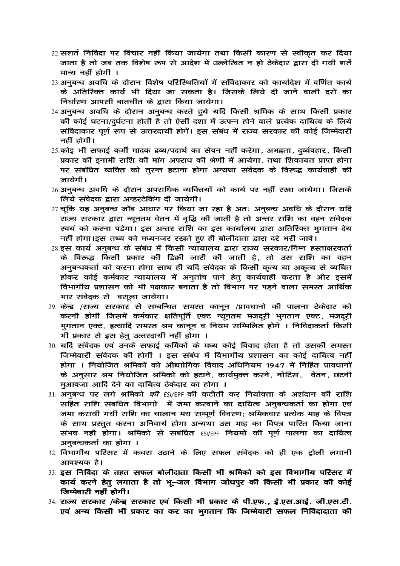- 22.सशर्त निविदा पर विचार नहीं किया जायेगा तथा किसी कारण से स्वीकृत कर दिया जाता है तो जब तक विशेष रूप से आदेश में उल्लेखित न हो ठेकेदार द्वारा दी गयी शर्ते मान्य नहीं होगी ।
- 23.अनुबन्ध अवधि के दौरान विशेष परिस्थितियों में संविदाकार को कार्यादेश में वर्णित कार्य के अतिरिक्त कार्य भी दिया जा सकता है। जिसके लिये दी जाने वाली दरों का निर्धारण आपसी बातचीत के द्वारा किया जायेगा।
- 24.अनुबन्ध अवधि के दौरान अनुबन्ध करते हुये यदि किसी श्रमिक के साथ किसी प्रकार की कोई घटना/दर्घटना होती है तो ऐसी दशा में उत्पन्न होने वाले प्रत्येक दायित्व के लिये संविदाकार पूर्ण रूप से उत्तरदायी होगें। इस संबंध में राज्य सरकार की कोई जिम्मेदारी नहीं होगी।
- 25.कोइ भी सफाई कर्मी मादक द्रव्य/पदार्थ का सेवन नहीं करेगा, अभद्रता, दर्व्यवहार, किसी प्रकार की इनामी राशि की मांग अपराध की श्रेणी में आयेगा, तथा शिकायत प्राप्त होना पर संबंधित व्यक्ति को तुरन्त हटाना होगा अन्यथा संवेदक के विरूद्ध कार्यवाही की जायेगी।
- 26.अनुबन्ध अवधि के दौरान अपराधिक व्यक्तियों को कार्य पर नहीं रखा जायेगा। जिसके लिये संवेदक द्वारा अन्डरटेकिंग दी जायेगी।
- 27.चुंकि यह अनुबन्ध जॉब आधार पर किया जा रहा है अतः अनुबन्ध अवधि के दौरान यदि राज्य सरकार द्वारा न्यूनतम वेतन में वृद्धि की जाती है तो अन्तर राशि का वहन संवेदक स्वयं को करना पडेगा। इस अन्तर राशि का इस कार्यालय द्वारा अतिरिक्त भगतान देय नहीं होगा।इस तथ्य को मध्यनजर रखते हुए ही बोलीदाता द्वारा दरे भरी जावे।
- 28.इस कार्य अनुबन्ध के संबंध में किसी न्यायालय द्वारा राज्य सरकार/निम्न हस्ताक्षरकर्ता के विरूद्ध किसी प्रकार की डिक्री जारी की जाती है, तो उस राशि का वहन अनुबन्धकर्ता को करना होगा साथ ही यदि संवेदक के किसी कृत्य या अकृत्य से व्यथित होकर कोई कर्मकार न्यायालय में अनुतोष पाने हेत् कार्यवाही करता है और इसमें विभागीय प्रशासन को भी पक्षकार बनाता है तो विभाग पर पड़ने वाला समस्त आर्थिक भार संवेदक से वसूला जायेगा।
- 29. केन्द्र /राज्य सरकार से सम्बन्धित समस्त कानून /प्रावधानो की पालना ठेकेदार को करनी होगी जिसमें कर्मकार क्षतिपूर्ति एक्ट न्यूनतम मजदूरी भुगतान एक्ट, मजदूरी भुगतान एक्ट, इत्यादि समस्त श्रम कानून व नियम सम्मिलित होगे । निविदाकर्ता किसी भी प्रकार से इस हेत् उत्तरदायी नहीं होगा ।
- 30. यदि संवेदक एवं उनके सफाई कर्मिको के मध्य कोई विवाद होता है तो उसकी समस्त जिम्मेवारी संवेदक की होगी । इस संबंध में विभागीय प्रशासन का कोई दायित्व नहीं होगा । नियोजित श्रमिकों को औद्योगिक विवाद अधिनियम 1947 में निहित प्रावधानों के अनुसार श्रम नियोजित श्रमिकों को हटाने, कार्यमुक्त करने, नोटिस, वेतन, छंटनी मुआवजा आदि देने का दायित्व ठेकेदार का होगा ।
- 31. अनुबन्ध पर लगे श्रमिको *की ESI/*EPF की कटौती कर नियोक्ता के अशंदान की राशि सहित राशि संबधित विभागो में जमा करवाने का दायित्व अनुबन्धकर्ता का होगा एवं जमा करायी गयी राशि का चालान मय सम्पूर्ण विवरण; श्रमिकवार प्रत्येक माह के विपत्र के साथ प्रस्तत करना अनिवार्य होगा अन्यथा उस माह का विपत्र पारित किया जाना संभव नहीं होगा। श्रमिको से सबंधित ESI/EPF नियमो की पूर्ण पालना का दायित्व अनुबन्धकर्ता का होगा ।
- 32. विभागीय परिसर में कचरा उठाने के लिए सफल संवेदक को ही एक ट्रोली लगानी आवश्यक है।
- 33. इस निविदा के तहत सफल बोलीदाता किसी भी श्रमिको को इस विभागीय परिसर में कार्य करने हेत् लगाता है तो भू–जल विभाग जोधपुर की किसी भी प्रकार की कोई जिम्मेवारी नहीं होगी।
- 34. राज्य सरकार /केन्द्र सरकार एवं किसी भी प्रकार के पी.एफ., ई.एस.आई. जी.एस.टी. एवं अन्य किसी भी प्रकार का कर का भगतान कि जिम्मेवारी सफल निविदादाता की